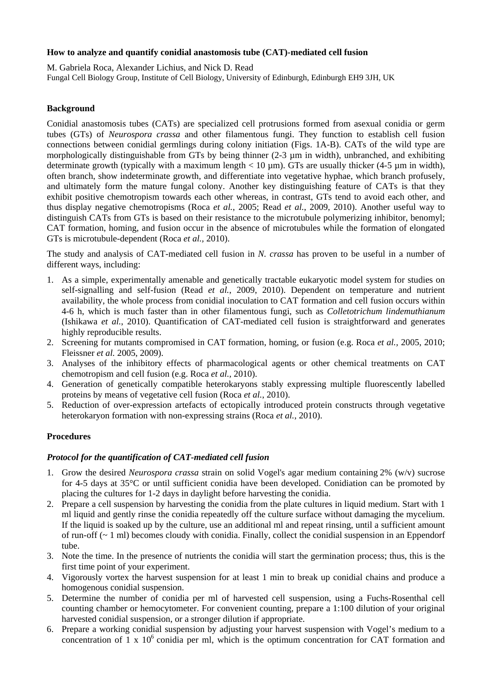## **How to analyze and quantify conidial anastomosis tube (CAT)-mediated cell fusion**

M. Gabriela Roca, Alexander Lichius, and Nick D. Read Fungal Cell Biology Group, Institute of Cell Biology, University of Edinburgh, Edinburgh EH9 3JH, UK

# **Background**

Conidial anastomosis tubes (CATs) are specialized cell protrusions formed from asexual conidia or germ tubes (GTs) of *Neurospora crassa* and other filamentous fungi. They function to establish cell fusion connections between conidial germlings during colony initiation (Figs. 1A-B). CATs of the wild type are morphologically distinguishable from GTs by being thinner (2-3 µm in width), unbranched, and exhibiting determinate growth (typically with a maximum length  $< 10 \mu m$ ). GTs are usually thicker (4-5  $\mu m$  in width), often branch, show indeterminate growth, and differentiate into vegetative hyphae, which branch profusely, and ultimately form the mature fungal colony. Another key distinguishing feature of CATs is that they exhibit positive chemotropism towards each other whereas, in contrast, GTs tend to avoid each other, and thus display negative chemotropisms (Roca *et al.*, 2005; Read *et al.*, 2009, 2010). Another useful way to distinguish CATs from GTs is based on their resistance to the microtubule polymerizing inhibitor, benomyl; CAT formation, homing, and fusion occur in the absence of microtubules while the formation of elongated GTs is microtubule-dependent (Roca *et al.,* 2010).

The study and analysis of CAT-mediated cell fusion in *N. crassa* has proven to be useful in a number of different ways, including:

- 1. As a simple, experimentally amenable and genetically tractable eukaryotic model system for studies on self-signalling and self-fusion (Read *et al.*, 2009, 2010). Dependent on temperature and nutrient availability, the whole process from conidial inoculation to CAT formation and cell fusion occurs within 4-6 h, which is much faster than in other filamentous fungi, such as *Colletotrichum lindemuthianum* (Ishikawa *et al.*, 2010). Quantification of CAT-mediated cell fusion is straightforward and generates highly reproducible results.
- 2. Screening for mutants compromised in CAT formation, homing, or fusion (e.g. Roca *et al.,* 2005, 2010; Fleissner *et al.* 2005, 2009).
- 3. Analyses of the inhibitory effects of pharmacological agents or other chemical treatments on CAT chemotropism and cell fusion (e.g. Roca *et al.,* 2010).
- 4. Generation of genetically compatible heterokaryons stably expressing multiple fluorescently labelled proteins by means of vegetative cell fusion (Roca *et al.*, 2010).
- 5. Reduction of over-expression artefacts of ectopically introduced protein constructs through vegetative heterokaryon formation with non-expressing strains (Roca *et al.*, 2010).

## **Procedures**

## *Protocol for the quantification of CAT-mediated cell fusion*

- 1. Grow the desired *Neurospora crassa* strain on solid Vogel's agar medium containing 2% (w/v) sucrose for 4-5 days at 35°C or until sufficient conidia have been developed. Conidiation can be promoted by placing the cultures for 1-2 days in daylight before harvesting the conidia.
- 2. Prepare a cell suspension by harvesting the conidia from the plate cultures in liquid medium. Start with 1 ml liquid and gently rinse the conidia repeatedly off the culture surface without damaging the mycelium. If the liquid is soaked up by the culture, use an additional ml and repeat rinsing, until a sufficient amount of run-off (~ 1 ml) becomes cloudy with conidia. Finally, collect the conidial suspension in an Eppendorf tube.
- 3. Note the time. In the presence of nutrients the conidia will start the germination process; thus, this is the first time point of your experiment.
- 4. Vigorously vortex the harvest suspension for at least 1 min to break up conidial chains and produce a homogenous conidial suspension.
- 5. Determine the number of conidia per ml of harvested cell suspension, using a Fuchs-Rosenthal cell counting chamber or hemocytometer. For convenient counting, prepare a 1:100 dilution of your original harvested conidial suspension, or a stronger dilution if appropriate.
- 6. Prepare a working conidial suspension by adjusting your harvest suspension with Vogel's medium to a concentration of 1 x  $10<sup>6</sup>$  conidia per ml, which is the optimum concentration for CAT formation and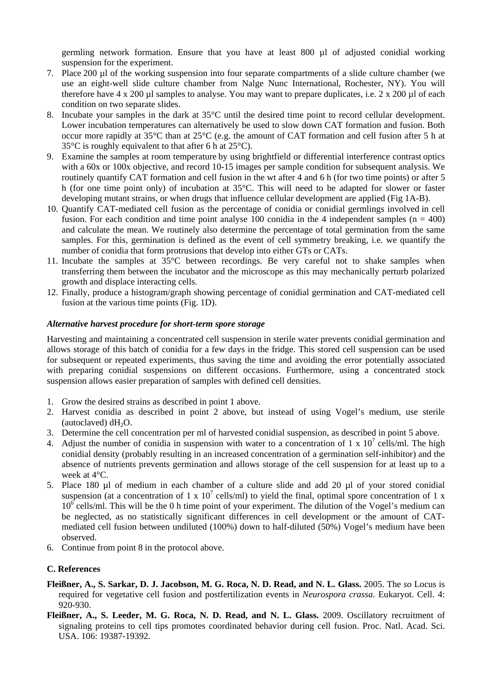germling network formation. Ensure that you have at least 800 µl of adjusted conidial working suspension for the experiment.

- 7. Place 200 µl of the working suspension into four separate compartments of a slide culture chamber (we use an eight-well slide culture chamber from Nalge Nunc International, Rochester, NY). You will therefore have  $4 \times 200 \mu l$  samples to analyse. You may want to prepare duplicates, i.e.  $2 \times 200 \mu l$  of each condition on two separate slides.
- 8. Incubate your samples in the dark at 35°C until the desired time point to record cellular development. Lower incubation temperatures can alternatively be used to slow down CAT formation and fusion. Both occur more rapidly at 35°C than at 25°C (e.g. the amount of CAT formation and cell fusion after 5 h at  $35^{\circ}$ C is roughly equivalent to that after 6 h at  $25^{\circ}$ C).
- 9. Examine the samples at room temperature by using brightfield or differential interference contrast optics with a 60x or 100x objective, and record 10-15 images per sample condition for subsequent analysis. We routinely quantify CAT formation and cell fusion in the wt after 4 and 6 h (for two time points) or after 5 h (for one time point only) of incubation at 35°C. This will need to be adapted for slower or faster developing mutant strains, or when drugs that influence cellular development are applied (Fig 1A-B).
- 10. Quantify CAT-mediated cell fusion as the percentage of conidia or conidial germlings involved in cell fusion. For each condition and time point analyse 100 conidia in the 4 independent samples  $(n = 400)$ and calculate the mean. We routinely also determine the percentage of total germination from the same samples. For this, germination is defined as the event of cell symmetry breaking, i.e. we quantify the number of conidia that form protrusions that develop into either GTs or CATs.
- 11. Incubate the samples at 35°C between recordings. Be very careful not to shake samples when transferring them between the incubator and the microscope as this may mechanically perturb polarized growth and displace interacting cells.
- 12. Finally, produce a histogram/graph showing percentage of conidial germination and CAT-mediated cell fusion at the various time points (Fig. 1D).

## *Alternative harvest procedure for short-term spore storage*

Harvesting and maintaining a concentrated cell suspension in sterile water prevents conidial germination and allows storage of this batch of conidia for a few days in the fridge. This stored cell suspension can be used for subsequent or repeated experiments, thus saving the time and avoiding the error potentially associated with preparing conidial suspensions on different occasions. Furthermore, using a concentrated stock suspension allows easier preparation of samples with defined cell densities.

- 1. Grow the desired strains as described in point 1 above.
- 2. Harvest conidia as described in point 2 above, but instead of using Vogel's medium, use sterile (autoclaved)  $dH_2O$ .
- 3. Determine the cell concentration per ml of harvested conidial suspension, as described in point 5 above.
- 4. Adjust the number of conidia in suspension with water to a concentration of 1 x  $10^7$  cells/ml. The high conidial density (probably resulting in an increased concentration of a germination self-inhibitor) and the absence of nutrients prevents germination and allows storage of the cell suspension for at least up to a week at 4°C.
- 5. Place 180 µl of medium in each chamber of a culture slide and add 20 µl of your stored conidial suspension (at a concentration of 1 x  $10^7$  cells/ml) to yield the final, optimal spore concentration of 1 x  $10^6$  cells/ml. This will be the 0 h time point of your experiment. The dilution of the Vogel's medium can be neglected, as no statistically significant differences in cell development or the amount of CATmediated cell fusion between undiluted (100%) down to half-diluted (50%) Vogel's medium have been observed.
- 6. Continue from point 8 in the protocol above.

## **C. References**

- **Fleißner, A., S. Sarkar, D. J. Jacobson, M. G. Roca, N. D. Read, and N. L. Glass.** 2005. The *so* Locus is required for vegetative cell fusion and postfertilization events in *Neurospora crassa*. Eukaryot. Cell. 4: 920-930.
- **Fleißner, A., S. Leeder, M. G. Roca, N. D. Read, and N. L. Glass.** 2009. Oscillatory recruitment of signaling proteins to cell tips promotes coordinated behavior during cell fusion. Proc. Natl. Acad. Sci. USA. 106: 19387-19392.